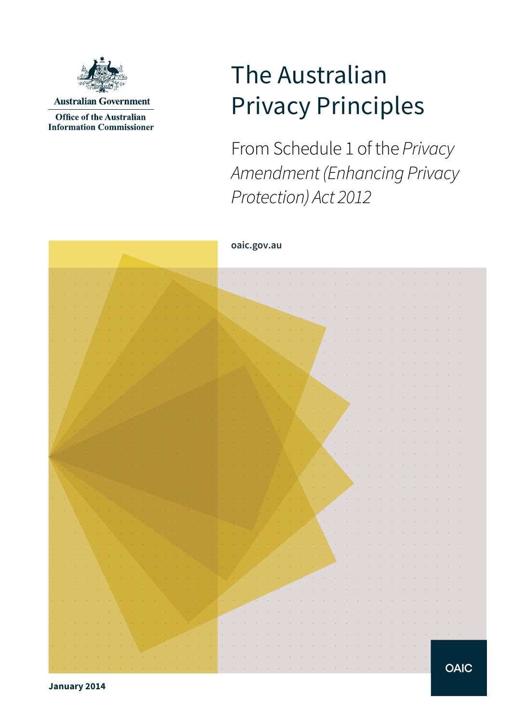

**Office of the Australian Information Commissioner** 

# The Australian Privacy Principles

From Schedule 1 of the *Privacy Amendment (Enhancing Privacy Protection) Act 2012*

#### **oaic.gov.au**

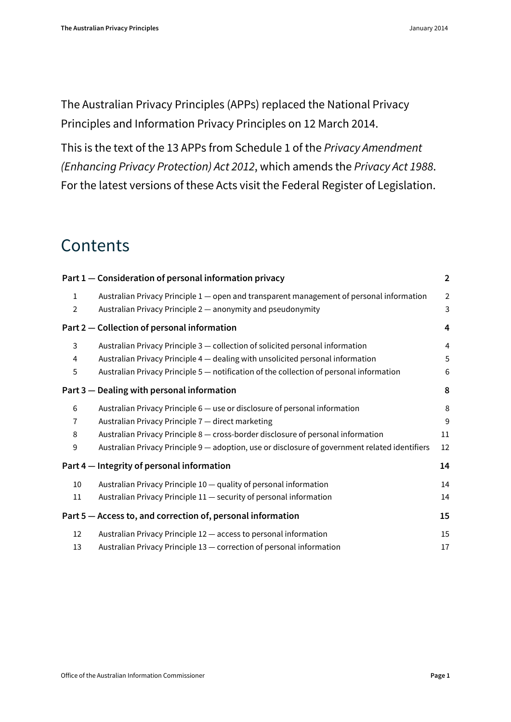The Australian Privacy Principles (APPs) replaced the National Privacy Principles and Information Privacy Principles on 12 March 2014.

This is the text of the 13 APPs from Schedule 1 of the *Privacy Amendment (Enhancing Privacy Protection) Act 2012*, which amends the *Privacy Act 1988*. For the latest versions of these Acts visit the Federal Register of Legislation.

## **Contents**

|                                            | Part 1 – Consideration of personal information privacy                                         | $\overline{2}$ |
|--------------------------------------------|------------------------------------------------------------------------------------------------|----------------|
| $\mathbf{1}$                               | Australian Privacy Principle 1 - open and transparent management of personal information       | $\overline{2}$ |
| 2                                          | Australian Privacy Principle 2 - anonymity and pseudonymity                                    | 3              |
|                                            | Part 2 – Collection of personal information                                                    | 4              |
| 3                                          | Australian Privacy Principle 3 - collection of solicited personal information                  | 4              |
| 4                                          | Australian Privacy Principle 4 - dealing with unsolicited personal information                 | 5              |
| 5                                          | Australian Privacy Principle 5 - notification of the collection of personal information        | 6              |
| Part 3 – Dealing with personal information |                                                                                                | 8              |
| 6                                          | Australian Privacy Principle 6 - use or disclosure of personal information                     | 8              |
| 7                                          | Australian Privacy Principle 7 - direct marketing                                              | 9              |
| 8                                          | Australian Privacy Principle 8 - cross-border disclosure of personal information               | 11             |
| 9                                          | Australian Privacy Principle 9 - adoption, use or disclosure of government related identifiers | 12             |
|                                            | Part 4 – Integrity of personal information                                                     |                |
| 10                                         | Australian Privacy Principle 10 - quality of personal information                              | 14             |
| 11                                         | Australian Privacy Principle 11 - security of personal information                             | 14             |
|                                            | Part 5 – Access to, and correction of, personal information                                    |                |
| 12                                         | Australian Privacy Principle 12 - access to personal information                               | 15             |
| 13                                         | Australian Privacy Principle 13 - correction of personal information                           | 17             |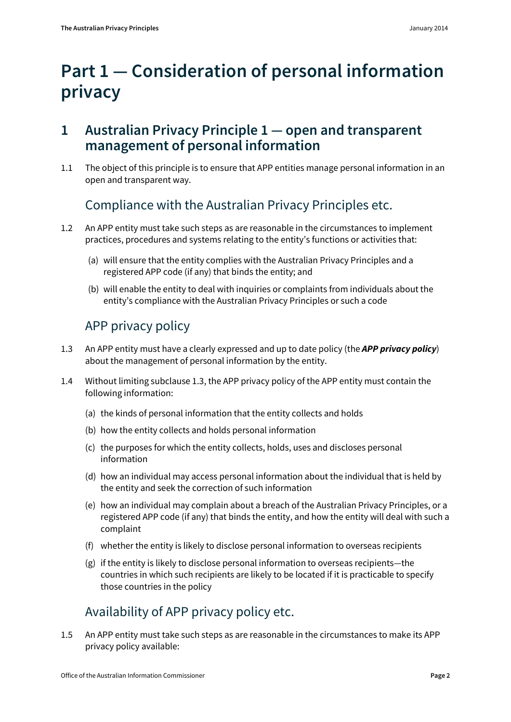## <span id="page-2-0"></span>**Part 1 — Consideration of personal information privacy**

#### <span id="page-2-1"></span>**1 Australian Privacy Principle 1 — open and transparent management of personal information**

1.1 The object of this principle is to ensure that APP entities manage personal information in an open and transparent way.

#### Compliance with the Australian Privacy Principles etc.

- 1.2 An APP entity must take such steps as are reasonable in the circumstances to implement practices, procedures and systems relating to the entity's functions or activities that:
	- (a) will ensure that the entity complies with the Australian Privacy Principles and a registered APP code (if any) that binds the entity; and
	- (b) will enable the entity to deal with inquiries or complaints from individuals about the entity's compliance with the Australian Privacy Principles or such a code

### APP privacy policy

- 1.3 An APP entity must have a clearly expressed and up to date policy (the *APP privacy policy*) about the management of personal information by the entity.
- 1.4 Without limiting subclause 1.3, the APP privacy policy of the APP entity must contain the following information:
	- (a) the kinds of personal information that the entity collects and holds
	- (b) how the entity collects and holds personal information
	- (c) the purposes for which the entity collects, holds, uses and discloses personal information
	- (d) how an individual may access personal information about the individual that is held by the entity and seek the correction of such information
	- (e) how an individual may complain about a breach of the Australian Privacy Principles, or a registered APP code (if any) that binds the entity, and how the entity will deal with such a complaint
	- (f) whether the entity is likely to disclose personal information to overseas recipients
	- (g) if the entity is likely to disclose personal information to overseas recipients—the countries in which such recipients are likely to be located if it is practicable to specify those countries in the policy

### Availability of APP privacy policy etc.

1.5 An APP entity must take such steps as are reasonable in the circumstances to make its APP privacy policy available: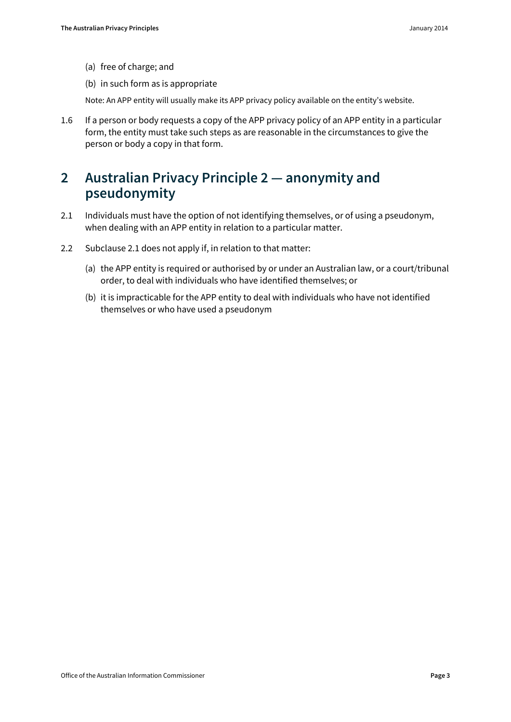- (a) free of charge; and
- (b) in such form as is appropriate

Note: An APP entity will usually make its APP privacy policy available on the entity's website.

1.6 If a person or body requests a copy of the APP privacy policy of an APP entity in a particular form, the entity must take such steps as are reasonable in the circumstances to give the person or body a copy in that form.

#### <span id="page-3-0"></span>**2 Australian Privacy Principle 2 — anonymity and pseudonymity**

- 2.1 Individuals must have the option of not identifying themselves, or of using a pseudonym, when dealing with an APP entity in relation to a particular matter.
- 2.2 Subclause 2.1 does not apply if, in relation to that matter:
	- (a) the APP entity is required or authorised by or under an Australian law, or a court/tribunal order, to deal with individuals who have identified themselves; or
	- (b) it is impracticable for the APP entity to deal with individuals who have not identified themselves or who have used a pseudonym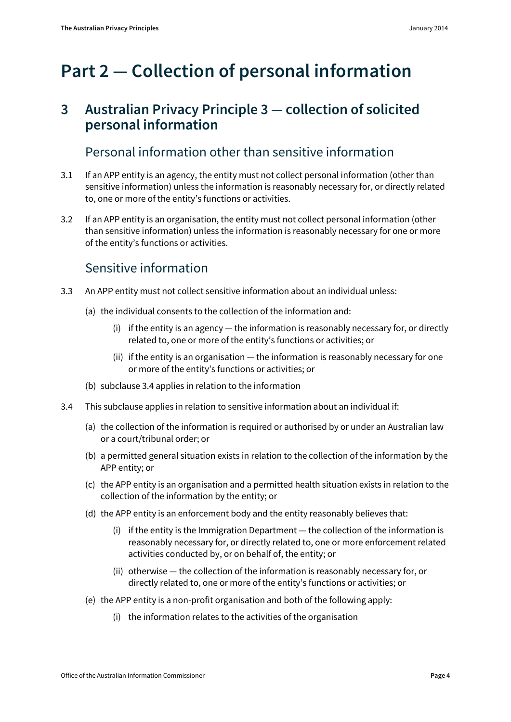## <span id="page-4-0"></span>**Part 2 — Collection of personal information**

#### <span id="page-4-1"></span>**3 Australian Privacy Principle 3 — collection of solicited personal information**

#### Personal information other than sensitive information

- 3.1 If an APP entity is an agency, the entity must not collect personal information (other than sensitive information) unless the information is reasonably necessary for, or directly related to, one or more of the entity's functions or activities.
- 3.2 If an APP entity is an organisation, the entity must not collect personal information (other than sensitive information) unless the information is reasonably necessary for one or more of the entity's functions or activities.

#### Sensitive information

- 3.3 An APP entity must not collect sensitive information about an individual unless:
	- (a) the individual consents to the collection of the information and:
		- (i) if the entity is an agency the information is reasonably necessary for, or directly related to, one or more of the entity's functions or activities; or
		- (ii) if the entity is an organisation the information is reasonably necessary for one or more of the entity's functions or activities; or
	- (b) subclause 3.4 applies in relation to the information
- 3.4 This subclause applies in relation to sensitive information about an individual if:
	- (a) the collection of the information is required or authorised by or under an Australian law or a court/tribunal order; or
	- (b) a permitted general situation exists in relation to the collection of the information by the APP entity; or
	- (c) the APP entity is an organisation and a permitted health situation exists in relation to the collection of the information by the entity; or
	- (d) the APP entity is an enforcement body and the entity reasonably believes that:
		- (i) if the entity is the Immigration Department the collection of the information is reasonably necessary for, or directly related to, one or more enforcement related activities conducted by, or on behalf of, the entity; or
		- (ii) otherwise the collection of the information is reasonably necessary for, or directly related to, one or more of the entity's functions or activities; or
	- (e) the APP entity is a non-profit organisation and both of the following apply:
		- (i) the information relates to the activities of the organisation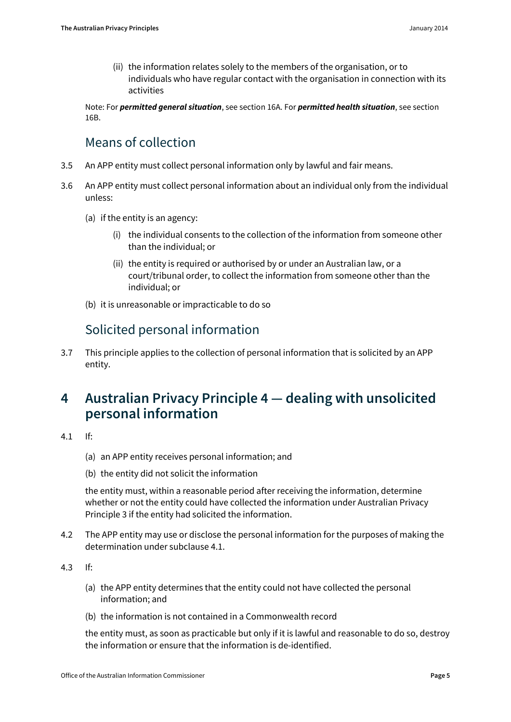(ii) the information relates solely to the members of the organisation, or to individuals who have regular contact with the organisation in connection with its activities

Note: For *permitted general situation*, see section 16A. For *permitted health situation*, see section 16B.

#### Means of collection

- 3.5 An APP entity must collect personal information only by lawful and fair means.
- 3.6 An APP entity must collect personal information about an individual only from the individual unless:
	- (a) if the entity is an agency:
		- (i) the individual consents to the collection of the information from someone other than the individual; or
		- (ii) the entity is required or authorised by or under an Australian law, or a court/tribunal order, to collect the information from someone other than the individual; or
	- (b) it is unreasonable or impracticable to do so

### Solicited personal information

3.7 This principle applies to the collection of personal information that is solicited by an APP entity.

### <span id="page-5-0"></span>**4 Australian Privacy Principle 4 — dealing with unsolicited personal information**

- 4.1 If:
	- (a) an APP entity receives personal information; and
	- (b) the entity did not solicit the information

the entity must, within a reasonable period after receiving the information, determine whether or not the entity could have collected the information under Australian Privacy Principle 3 if the entity had solicited the information.

4.2 The APP entity may use or disclose the personal information for the purposes of making the determination under subclause 4.1.

- (a) the APP entity determines that the entity could not have collected the personal information; and
- (b) the information is not contained in a Commonwealth record

the entity must, as soon as practicable but only if it is lawful and reasonable to do so, destroy the information or ensure that the information is de-identified.

<sup>4.3</sup> If: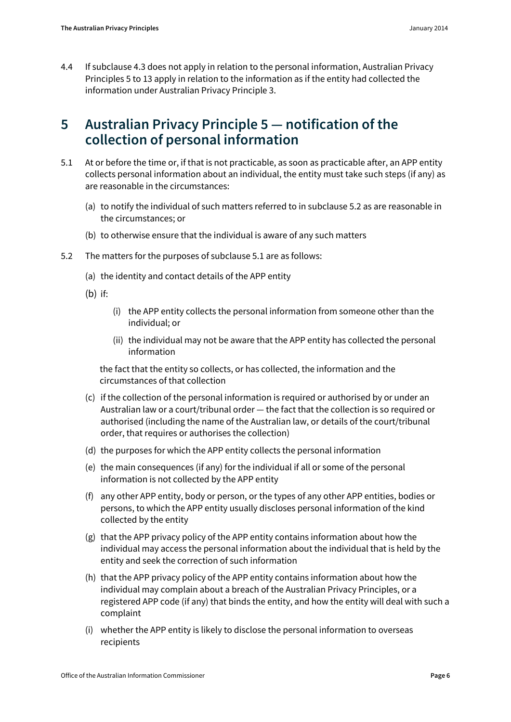4.4 If subclause 4.3 does not apply in relation to the personal information, Australian Privacy Principles 5 to 13 apply in relation to the information as if the entity had collected the information under Australian Privacy Principle 3.

### <span id="page-6-0"></span>**5 Australian Privacy Principle 5 — notification of the collection of personal information**

- 5.1 At or before the time or, if that is not practicable, as soon as practicable after, an APP entity collects personal information about an individual, the entity must take such steps (if any) as are reasonable in the circumstances:
	- (a) to notify the individual of such matters referred to in subclause 5.2 as are reasonable in the circumstances; or
	- (b) to otherwise ensure that the individual is aware of any such matters
- 5.2 The matters for the purposes of subclause 5.1 are as follows:
	- (a) the identity and contact details of the APP entity
	- (b) if:
- (i) the APP entity collects the personal information from someone other than the individual; or
- (ii) the individual may not be aware that the APP entity has collected the personal information

the fact that the entity so collects, or has collected, the information and the circumstances of that collection

- (c) if the collection of the personal information is required or authorised by or under an Australian law or a court/tribunal order — the fact that the collection is so required or authorised (including the name of the Australian law, or details of the court/tribunal order, that requires or authorises the collection)
- (d) the purposes for which the APP entity collects the personal information
- (e) the main consequences (if any) for the individual if all or some of the personal information is not collected by the APP entity
- (f) any other APP entity, body or person, or the types of any other APP entities, bodies or persons, to which the APP entity usually discloses personal information of the kind collected by the entity
- (g) that the APP privacy policy of the APP entity contains information about how the individual may access the personal information about the individual that is held by the entity and seek the correction of such information
- (h) that the APP privacy policy of the APP entity contains information about how the individual may complain about a breach of the Australian Privacy Principles, or a registered APP code (if any) that binds the entity, and how the entity will deal with such a complaint
- (i) whether the APP entity is likely to disclose the personal information to overseas recipients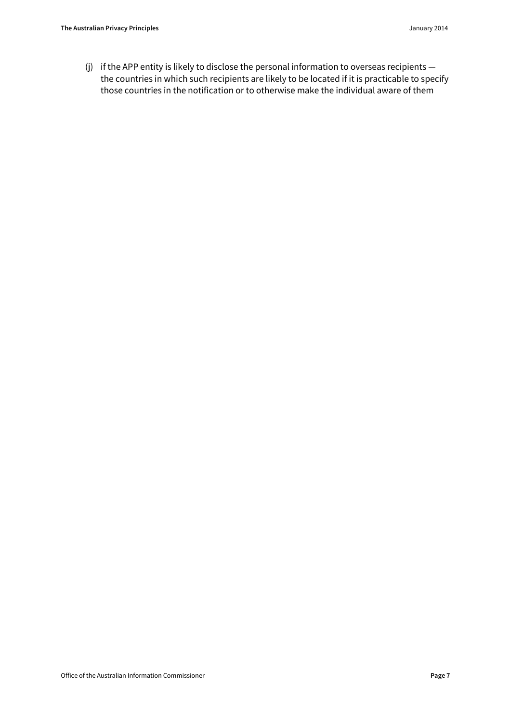(j) if the APP entity is likely to disclose the personal information to overseas recipients the countries in which such recipients are likely to be located if it is practicable to specify those countries in the notification or to otherwise make the individual aware of them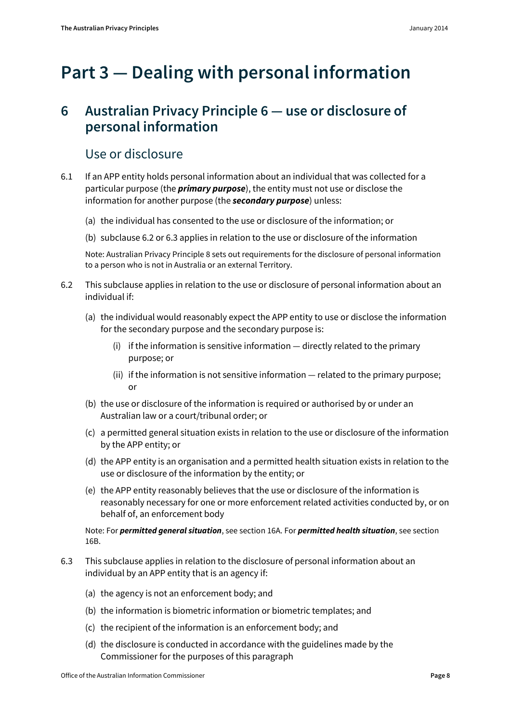## <span id="page-8-0"></span>**Part 3 — Dealing with personal information**

#### <span id="page-8-1"></span>**6 Australian Privacy Principle 6 — use or disclosure of personal information**

#### Use or disclosure

- 6.1 If an APP entity holds personal information about an individual that was collected for a particular purpose (the *primary purpose*), the entity must not use or disclose the information for another purpose (the *secondary purpose*) unless:
	- (a) the individual has consented to the use or disclosure of the information; or
	- (b) subclause 6.2 or 6.3 applies in relation to the use or disclosure of the information

Note: Australian Privacy Principle 8 sets out requirements for the disclosure of personal information to a person who is not in Australia or an external Territory.

- 6.2 This subclause applies in relation to the use or disclosure of personal information about an individual if:
	- (a) the individual would reasonably expect the APP entity to use or disclose the information for the secondary purpose and the secondary purpose is:
		- (i) if the information is sensitive information directly related to the primary purpose; or
		- (ii) if the information is not sensitive information related to the primary purpose; or
	- (b) the use or disclosure of the information is required or authorised by or under an Australian law or a court/tribunal order; or
	- (c) a permitted general situation exists in relation to the use or disclosure of the information by the APP entity; or
	- (d) the APP entity is an organisation and a permitted health situation exists in relation to the use or disclosure of the information by the entity; or
	- (e) the APP entity reasonably believes that the use or disclosure of the information is reasonably necessary for one or more enforcement related activities conducted by, or on behalf of, an enforcement body

Note: For *permitted general situation*, see section 16A. For *permitted health situation*, see section 16B.

- 6.3 This subclause applies in relation to the disclosure of personal information about an individual by an APP entity that is an agency if:
	- (a) the agency is not an enforcement body; and
	- (b) the information is biometric information or biometric templates; and
	- (c) the recipient of the information is an enforcement body; and
	- (d) the disclosure is conducted in accordance with the guidelines made by the Commissioner for the purposes of this paragraph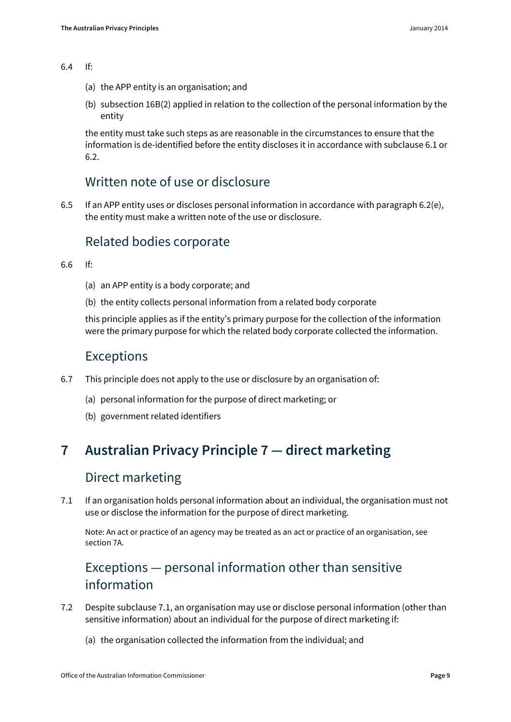6.4 If:

- (a) the APP entity is an organisation; and
- (b) subsection 16B(2) applied in relation to the collection of the personal information by the entity

the entity must take such steps as are reasonable in the circumstances to ensure that the information is de-identified before the entity discloses it in accordance with subclause 6.1 or 6.2.

#### Written note of use or disclosure

6.5 If an APP entity uses or discloses personal information in accordance with paragraph 6.2(e), the entity must make a written note of the use or disclosure.

#### Related bodies corporate

- 6.6 If:
	- (a) an APP entity is a body corporate; and
	- (b) the entity collects personal information from a related body corporate

this principle applies as if the entity's primary purpose for the collection of the information were the primary purpose for which the related body corporate collected the information.

#### Exceptions

- 6.7 This principle does not apply to the use or disclosure by an organisation of:
	- (a) personal information for the purpose of direct marketing; or
	- (b) government related identifiers

### <span id="page-9-0"></span>**7 Australian Privacy Principle 7 — direct marketing**

#### Direct marketing

7.1 If an organisation holds personal information about an individual, the organisation must not use or disclose the information for the purpose of direct marketing.

Note: An act or practice of an agency may be treated as an act or practice of an organisation, see section 7A.

### Exceptions — personal information other than sensitive information

- 7.2 Despite subclause 7.1, an organisation may use or disclose personal information (other than sensitive information) about an individual for the purpose of direct marketing if:
	- (a) the organisation collected the information from the individual; and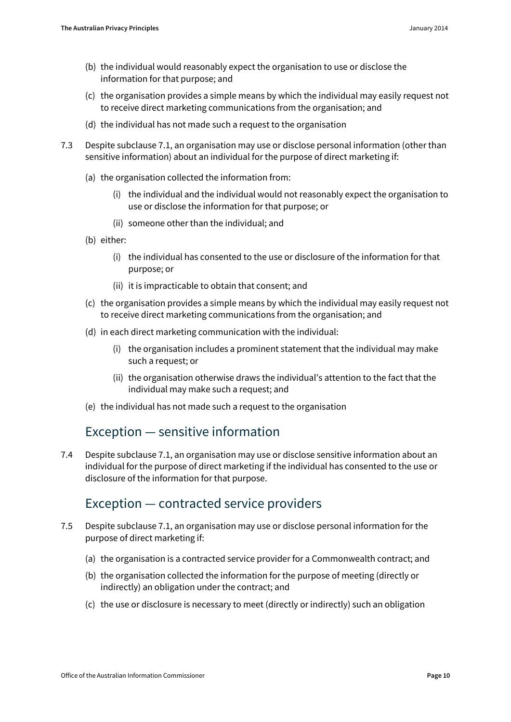- (b) the individual would reasonably expect the organisation to use or disclose the information for that purpose; and
- (c) the organisation provides a simple means by which the individual may easily request not to receive direct marketing communications from the organisation; and
- (d) the individual has not made such a request to the organisation
- 7.3 Despite subclause 7.1, an organisation may use or disclose personal information (other than sensitive information) about an individual for the purpose of direct marketing if:
	- (a) the organisation collected the information from:
		- (i) the individual and the individual would not reasonably expect the organisation to use or disclose the information for that purpose; or
		- (ii) someone other than the individual; and
	- (b) either:
		- (i) the individual has consented to the use or disclosure of the information for that purpose; or
		- (ii) it is impracticable to obtain that consent; and
	- (c) the organisation provides a simple means by which the individual may easily request not to receive direct marketing communications from the organisation; and
	- (d) in each direct marketing communication with the individual:
		- (i) the organisation includes a prominent statement that the individual may make such a request; or
		- (ii) the organisation otherwise draws the individual's attention to the fact that the individual may make such a request; and
	- (e) the individual has not made such a request to the organisation

#### Exception — sensitive information

7.4 Despite subclause 7.1, an organisation may use or disclose sensitive information about an individual for the purpose of direct marketing if the individual has consented to the use or disclosure of the information for that purpose.

#### Exception — contracted service providers

- 7.5 Despite subclause 7.1, an organisation may use or disclose personal information for the purpose of direct marketing if:
	- (a) the organisation is a contracted service provider for a Commonwealth contract; and
	- (b) the organisation collected the information for the purpose of meeting (directly or indirectly) an obligation under the contract; and
	- (c) the use or disclosure is necessary to meet (directly or indirectly) such an obligation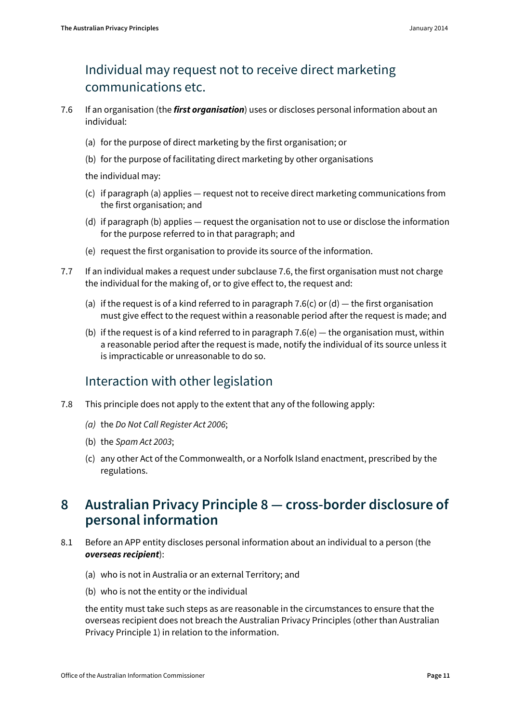#### Individual may request not to receive direct marketing communications etc.

- 7.6 If an organisation (the *first organisation*) uses or discloses personal information about an individual:
	- (a) for the purpose of direct marketing by the first organisation; or
	- (b) for the purpose of facilitating direct marketing by other organisations

the individual may:

- (c) if paragraph (a) applies request not to receive direct marketing communications from the first organisation; and
- (d) if paragraph (b) applies request the organisation not to use or disclose the information for the purpose referred to in that paragraph; and
- (e) request the first organisation to provide its source of the information.
- 7.7 If an individual makes a request under subclause 7.6, the first organisation must not charge the individual for the making of, or to give effect to, the request and:
	- (a) if the request is of a kind referred to in paragraph 7.6(c) or  $(d)$  the first organisation must give effect to the request within a reasonable period after the request is made; and
	- (b) if the request is of a kind referred to in paragraph  $7.6(e)$  the organisation must, within a reasonable period after the request is made, notify the individual of its source unless it is impracticable or unreasonable to do so.

#### Interaction with other legislation

- 7.8 This principle does not apply to the extent that any of the following apply:
	- *(a)* the *Do Not Call Register Act 2006*;
	- (b) the *Spam Act 2003*;
	- (c) any other Act of the Commonwealth, or a Norfolk Island enactment, prescribed by the regulations.

#### <span id="page-11-0"></span>**8 Australian Privacy Principle 8 — cross-border disclosure of personal information**

- 8.1 Before an APP entity discloses personal information about an individual to a person (the *overseas recipient*):
	- (a) who is not in Australia or an external Territory; and
	- (b) who is not the entity or the individual

the entity must take such steps as are reasonable in the circumstances to ensure that the overseas recipient does not breach the Australian Privacy Principles (other than Australian Privacy Principle 1) in relation to the information.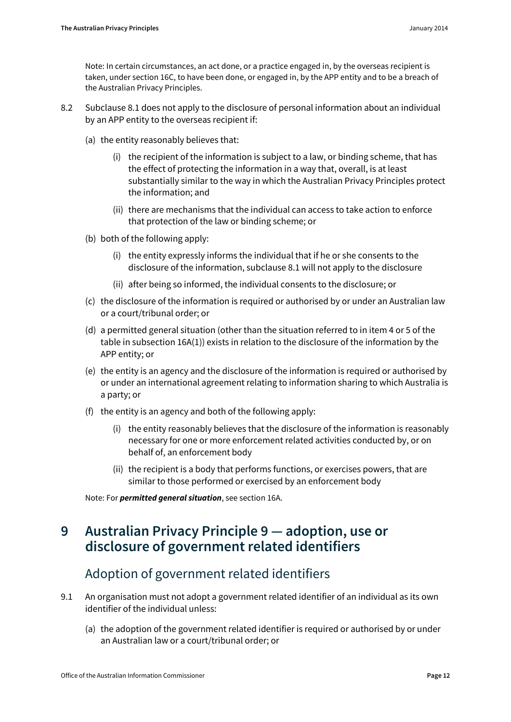Note: In certain circumstances, an act done, or a practice engaged in, by the overseas recipient is taken, under section 16C, to have been done, or engaged in, by the APP entity and to be a breach of the Australian Privacy Principles.

- 8.2 Subclause 8.1 does not apply to the disclosure of personal information about an individual by an APP entity to the overseas recipient if:
	- (a) the entity reasonably believes that:
		- (i) the recipient of the information is subject to a law, or binding scheme, that has the effect of protecting the information in a way that, overall, is at least substantially similar to the way in which the Australian Privacy Principles protect the information; and
		- (ii) there are mechanisms that the individual can access to take action to enforce that protection of the law or binding scheme; or
	- (b) both of the following apply:
		- (i) the entity expressly informs the individual that if he or she consents to the disclosure of the information, subclause 8.1 will not apply to the disclosure
		- (ii) after being so informed, the individual consents to the disclosure; or
	- (c) the disclosure of the information is required or authorised by or under an Australian law or a court/tribunal order; or
	- (d) a permitted general situation (other than the situation referred to in item 4 or 5 of the table in subsection 16A(1)) exists in relation to the disclosure of the information by the APP entity; or
	- (e) the entity is an agency and the disclosure of the information is required or authorised by or under an international agreement relating to information sharing to which Australia is a party; or
	- (f) the entity is an agency and both of the following apply:
		- (i) the entity reasonably believes that the disclosure of the information is reasonably necessary for one or more enforcement related activities conducted by, or on behalf of, an enforcement body
		- (ii) the recipient is a body that performs functions, or exercises powers, that are similar to those performed or exercised by an enforcement body

Note: For *permitted general situation*, see section 16A.

#### <span id="page-12-0"></span>**9 Australian Privacy Principle 9 — adoption, use or disclosure of government related identifiers**

#### Adoption of government related identifiers

- 9.1 An organisation must not adopt a government related identifier of an individual as its own identifier of the individual unless:
	- (a) the adoption of the government related identifier is required or authorised by or under an Australian law or a court/tribunal order; or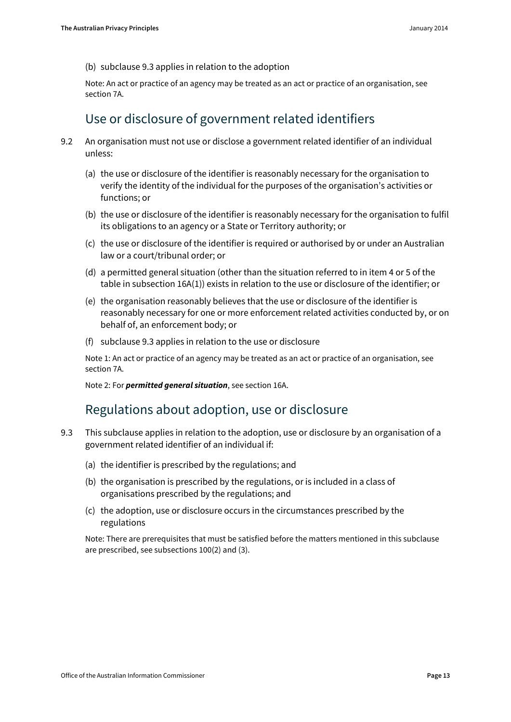(b) subclause 9.3 applies in relation to the adoption

Note: An act or practice of an agency may be treated as an act or practice of an organisation, see section 7A.

#### Use or disclosure of government related identifiers

- 9.2 An organisation must not use or disclose a government related identifier of an individual unless:
	- (a) the use or disclosure of the identifier is reasonably necessary for the organisation to verify the identity of the individual for the purposes of the organisation's activities or functions; or
	- (b) the use or disclosure of the identifier is reasonably necessary for the organisation to fulfil its obligations to an agency or a State or Territory authority; or
	- (c) the use or disclosure of the identifier is required or authorised by or under an Australian law or a court/tribunal order; or
	- (d) a permitted general situation (other than the situation referred to in item 4 or 5 of the table in subsection 16A(1)) exists in relation to the use or disclosure of the identifier; or
	- (e) the organisation reasonably believes that the use or disclosure of the identifier is reasonably necessary for one or more enforcement related activities conducted by, or on behalf of, an enforcement body; or
	- (f) subclause 9.3 applies in relation to the use or disclosure

Note 1: An act or practice of an agency may be treated as an act or practice of an organisation, see section 7A.

Note 2: For *permitted general situation*, see section 16A.

#### Regulations about adoption, use or disclosure

- 9.3 This subclause applies in relation to the adoption, use or disclosure by an organisation of a government related identifier of an individual if:
	- (a) the identifier is prescribed by the regulations; and
	- (b) the organisation is prescribed by the regulations, or is included in a class of organisations prescribed by the regulations; and
	- (c) the adoption, use or disclosure occurs in the circumstances prescribed by the regulations

Note: There are prerequisites that must be satisfied before the matters mentioned in this subclause are prescribed, see subsections 100(2) and (3).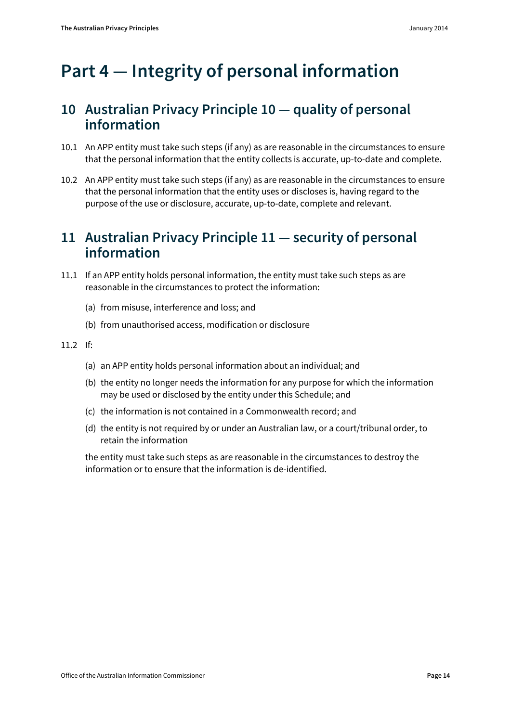## <span id="page-14-0"></span>**Part 4 — Integrity of personal information**

#### <span id="page-14-1"></span>**10 Australian Privacy Principle 10 — quality of personal information**

- 10.1 An APP entity must take such steps (if any) as are reasonable in the circumstances to ensure that the personal information that the entity collects is accurate, up-to-date and complete.
- 10.2 An APP entity must take such steps (if any) as are reasonable in the circumstances to ensure that the personal information that the entity uses or discloses is, having regard to the purpose of the use or disclosure, accurate, up-to-date, complete and relevant.

#### <span id="page-14-2"></span>**11 Australian Privacy Principle 11 — security of personal information**

- 11.1 If an APP entity holds personal information, the entity must take such steps as are reasonable in the circumstances to protect the information:
	- (a) from misuse, interference and loss; and
	- (b) from unauthorised access, modification or disclosure

#### 11.2 If:

- (a) an APP entity holds personal information about an individual; and
- (b) the entity no longer needs the information for any purpose for which the information may be used or disclosed by the entity under this Schedule; and
- (c) the information is not contained in a Commonwealth record; and
- (d) the entity is not required by or under an Australian law, or a court/tribunal order, to retain the information

the entity must take such steps as are reasonable in the circumstances to destroy the information or to ensure that the information is de-identified.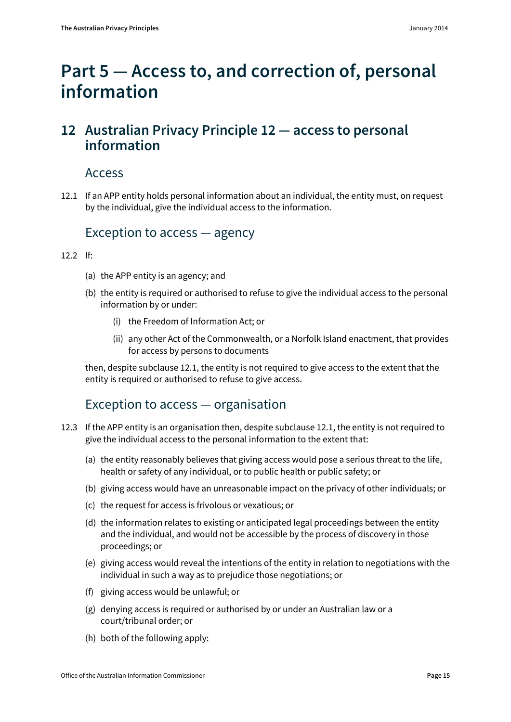## <span id="page-15-0"></span>**Part 5 — Access to, and correction of, personal information**

#### <span id="page-15-1"></span>**12 Australian Privacy Principle 12 — access to personal information**

#### Access

12.1 If an APP entity holds personal information about an individual, the entity must, on request by the individual, give the individual access to the information.

#### Exception to access — agency

#### 12.2 If:

- (a) the APP entity is an agency; and
- (b) the entity is required or authorised to refuse to give the individual access to the personal information by or under:
	- (i) the Freedom of Information Act; or
	- (ii) any other Act of the Commonwealth, or a Norfolk Island enactment, that provides for access by persons to documents

then, despite subclause 12.1, the entity is not required to give access to the extent that the entity is required or authorised to refuse to give access.

#### Exception to access — organisation

- 12.3 If the APP entity is an organisation then, despite subclause 12.1, the entity is not required to give the individual access to the personal information to the extent that:
	- (a) the entity reasonably believes that giving access would pose a serious threat to the life, health or safety of any individual, or to public health or public safety; or
	- (b) giving access would have an unreasonable impact on the privacy of other individuals; or
	- (c) the request for access is frivolous or vexatious; or
	- (d) the information relates to existing or anticipated legal proceedings between the entity and the individual, and would not be accessible by the process of discovery in those proceedings; or
	- (e) giving access would reveal the intentions of the entity in relation to negotiations with the individual in such a way as to prejudice those negotiations; or
	- (f) giving access would be unlawful; or
	- (g) denying access is required or authorised by or under an Australian law or a court/tribunal order; or
	- (h) both of the following apply: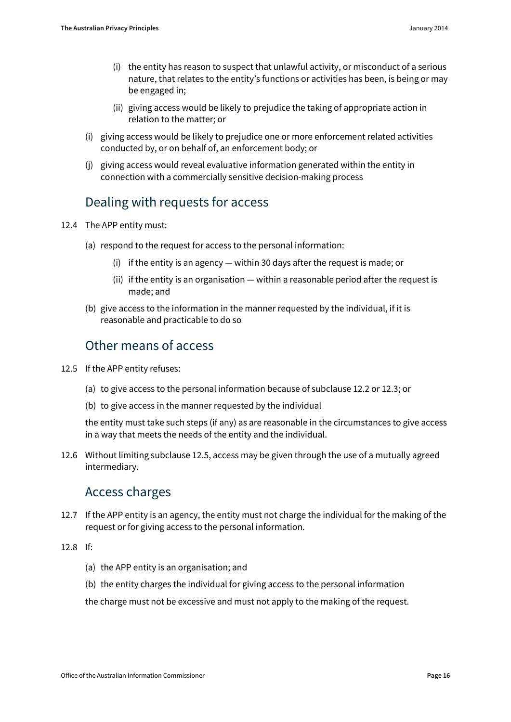- (i) the entity has reason to suspect that unlawful activity, or misconduct of a serious nature, that relates to the entity's functions or activities has been, is being or may be engaged in;
- (ii) giving access would be likely to prejudice the taking of appropriate action in relation to the matter; or
- (i) giving access would be likely to prejudice one or more enforcement related activities conducted by, or on behalf of, an enforcement body; or
- (j) giving access would reveal evaluative information generated within the entity in connection with a commercially sensitive decision-making process

#### Dealing with requests for access

- 12.4 The APP entity must:
	- (a) respond to the request for access to the personal information:
		- (i) if the entity is an agency within 30 days after the request is made; or
		- (ii) if the entity is an organisation within a reasonable period after the request is made; and
	- (b) give access to the information in the manner requested by the individual, if it is reasonable and practicable to do so

#### Other means of access

- 12.5 If the APP entity refuses:
	- (a) to give access to the personal information because of subclause 12.2 or 12.3; or
	- (b) to give access in the manner requested by the individual

the entity must take such steps (if any) as are reasonable in the circumstances to give access in a way that meets the needs of the entity and the individual.

12.6 Without limiting subclause 12.5, access may be given through the use of a mutually agreed intermediary.

#### Access charges

12.7 If the APP entity is an agency, the entity must not charge the individual for the making of the request or for giving access to the personal information.

#### 12.8 If:

- (a) the APP entity is an organisation; and
- (b) the entity charges the individual for giving access to the personal information

the charge must not be excessive and must not apply to the making of the request.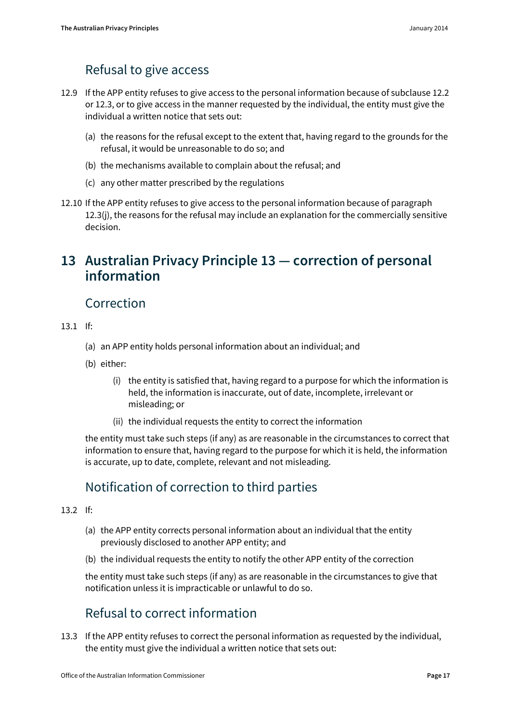#### Refusal to give access

- 12.9 If the APP entity refuses to give access to the personal information because of subclause 12.2 or 12.3, or to give access in the manner requested by the individual, the entity must give the individual a written notice that sets out:
	- (a) the reasons for the refusal except to the extent that, having regard to the grounds for the refusal, it would be unreasonable to do so; and
	- (b) the mechanisms available to complain about the refusal; and
	- (c) any other matter prescribed by the regulations
- 12.10 If the APP entity refuses to give access to the personal information because of paragraph 12.3(j), the reasons for the refusal may include an explanation for the commercially sensitive decision.

### <span id="page-17-0"></span>**13 Australian Privacy Principle 13 — correction of personal information**

#### Correction

- 13.1 If:
	- (a) an APP entity holds personal information about an individual; and
	- (b) either:
		- (i) the entity is satisfied that, having regard to a purpose for which the information is held, the information is inaccurate, out of date, incomplete, irrelevant or misleading; or
		- (ii) the individual requests the entity to correct the information

the entity must take such steps (if any) as are reasonable in the circumstances to correct that information to ensure that, having regard to the purpose for which it is held, the information is accurate, up to date, complete, relevant and not misleading.

#### Notification of correction to third parties

- 13.2 If:
	- (a) the APP entity corrects personal information about an individual that the entity previously disclosed to another APP entity; and
	- (b) the individual requests the entity to notify the other APP entity of the correction

the entity must take such steps (if any) as are reasonable in the circumstances to give that notification unless it is impracticable or unlawful to do so.

#### Refusal to correct information

13.3 If the APP entity refuses to correct the personal information as requested by the individual, the entity must give the individual a written notice that sets out: